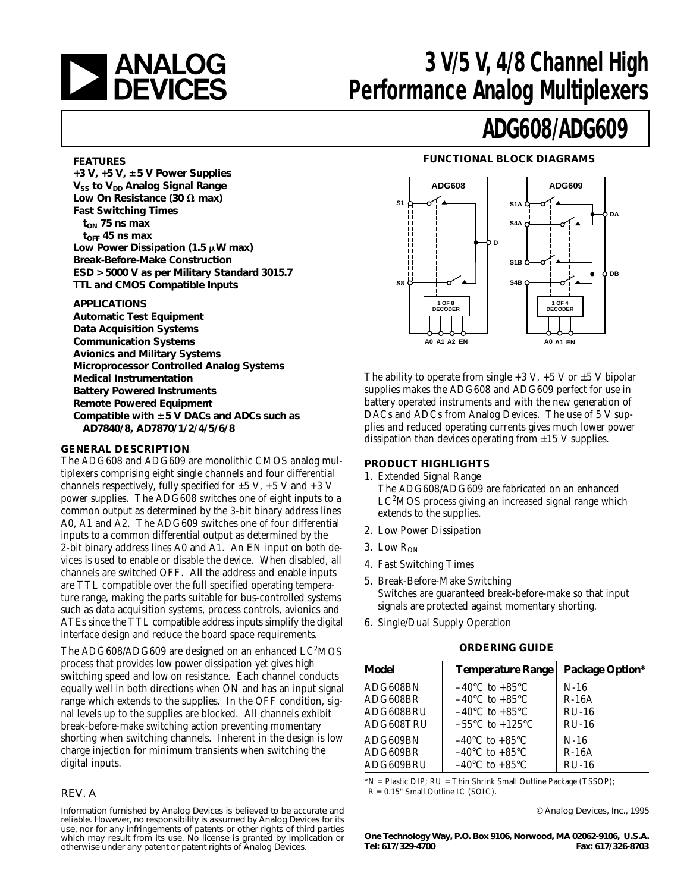

## **ANALOG** 3 V/5 V, 4/8 Channel High<br> **DEVICES** Performance Analog Multiplexers **Performance Analog Multiplexers**

## **ADG608/ADG609**

### **FUNCTIONAL BLOCK DIAGRAMS**



The ability to operate from single  $+3$  V,  $+5$  V or  $\pm 5$  V bipolar supplies makes the ADG608 and ADG609 perfect for use in battery operated instruments and with the new generation of DACs and ADCs from Analog Devices. The use of 5 V supplies and reduced operating currents gives much lower power dissipation than devices operating from  $\pm 15$  V supplies.

### **PRODUCT HIGHLIGHTS**

- 1. Extended Signal Range The ADG608/ADG609 are fabricated on an enhanced LC<sup>2</sup>MOS process giving an increased signal range which extends to the supplies.
- 2. Low Power Dissipation
- 3. Low  $R_{ON}$
- 4. Fast Switching Times
- 5. Break-Before-Make Switching Switches are guaranteed break-before-make so that input signals are protected against momentary shorting.
- 6. Single/Dual Supply Operation

#### **ORDERING GUIDE**

| Model     | <b>Temperature Range</b>            | <b>Package Option*</b> |
|-----------|-------------------------------------|------------------------|
| ADG608BN  | $-40^{\circ}$ C to $+85^{\circ}$ C  | $N-16$                 |
| ADG608BR  | $-40^{\circ}$ C to $+85^{\circ}$ C  | $R-16A$                |
| ADG608BRU | $-40^{\circ}$ C to $+85^{\circ}$ C  | $RU-16$                |
| ADG608TRU | $-55^{\circ}$ C to $+125^{\circ}$ C | $RU-16$                |
| ADG609BN  | $-40^{\circ}$ C to $+85^{\circ}$ C  | $N-16$                 |
| ADG609BR  | $-40^{\circ}$ C to $+85^{\circ}$ C  | $R-16A$                |
| ADG609BRU | $-40^{\circ}$ C to $+85^{\circ}$ C  | $RU-16$                |

\*N = Plastic DIP; RU = Thin Shrink Small Outline Package (TSSOP); R = 0.15" Small Outline IC (SOIC).

© Analog Devices, Inc., 1995

**One Technology Way, P.O. Box 9106, Norwood, MA 02062-9106, U.S.A. Tel: 617/329-4700 Fax: 617/326-8703**

### **FEATURES**

**+3 V, +5 V,** 6**5 V Power Supplies V<sub>SS</sub>** to V<sub>DD</sub> Analog Signal Range Low On Resistance (30  $\Omega$  max) **Fast Switching Times** t<sub>ON</sub> 75 ns max  $t_{\text{OFF}}$  45 ns max Low Power Dissipation (1.5  $\mu$ W max) **Break-Before-Make Construction ESD > 5000 V as per Military Standard 3015.7 TTL and CMOS Compatible Inputs**

#### **APPLICATIONS**

**Automatic Test Equipment Data Acquisition Systems Communication Systems Avionics and Military Systems Microprocessor Controlled Analog Systems Medical Instrumentation Battery Powered Instruments Remote Powered Equipment Compatible with** 6**5 V DACs and ADCs such as AD7840/8, AD7870/1/2/4/5/6/8**

### **GENERAL DESCRIPTION**

The ADG608 and ADG609 are monolithic CMOS analog multiplexers comprising eight single channels and four differential channels respectively, fully specified for  $\pm 5$  V,  $+5$  V and  $+3$  V power supplies. The ADG608 switches one of eight inputs to a common output as determined by the 3-bit binary address lines A0, A1 and A2. The ADG609 switches one of four differential inputs to a common differential output as determined by the 2-bit binary address lines A0 and A1. An EN input on both devices is used to enable or disable the device. When disabled, all channels are switched OFF. All the address and enable inputs are TTL compatible over the full specified operating temperature range, making the parts suitable for bus-controlled systems such as data acquisition systems, process controls, avionics and ATEs since the TTL compatible address inputs simplify the digital interface design and reduce the board space requirements.

The ADG608/ADG609 are designed on an enhanced  $LC^{2}MOS$ process that provides low power dissipation yet gives high switching speed and low on resistance. Each channel conducts equally well in both directions when ON and has an input signal range which extends to the supplies. In the OFF condition, signal levels up to the supplies are blocked. All channels exhibit break-before-make switching action preventing momentary shorting when switching channels. Inherent in the design is low charge injection for minimum transients when switching the digital inputs.

### REV. A

Information furnished by Analog Devices is believed to be accurate and reliable. However, no responsibility is assumed by Analog Devices for its use, nor for any infringements of patents or other rights of third parties which may result from its use. No license is granted by implication or otherwise under any patent or patent rights of Analog Devices.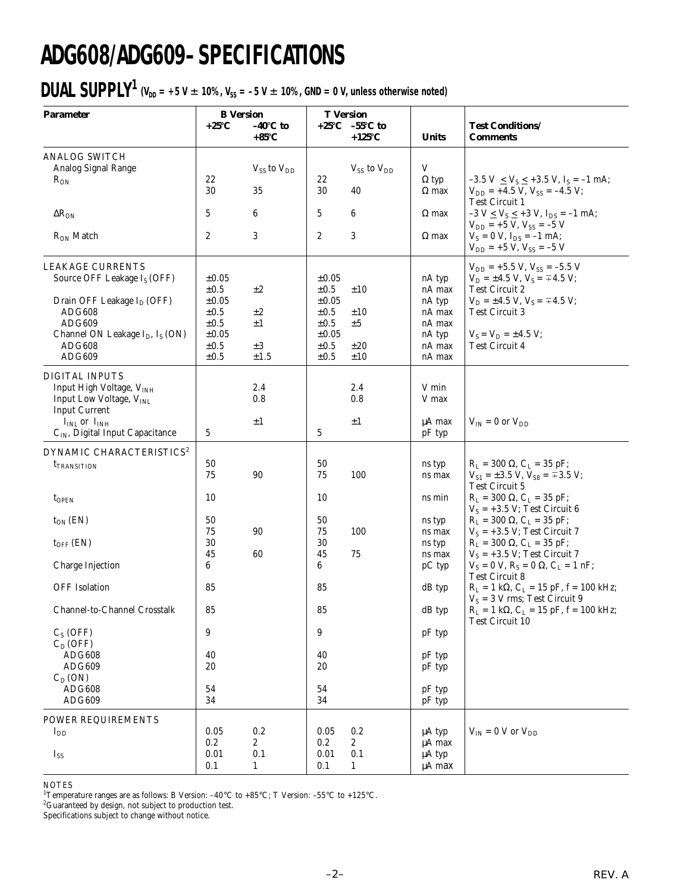# **ADG608/ADG609–SPECIFICATIONS**

## **DUAL SUPPLY<sup>1</sup>** ( $V_{DD} = +5$  V  $\pm$  10%,  $V_{SS} = -5$  V  $\pm$  10%, GND = 0 V, unless otherwise noted)

| <b>Parameter</b>                                                                                                                                                                                                              | <b>B</b> Version                                                                                   |                                                  |                                                                                                         | <b>T</b> Version                                      |                                                                              |                                                                                                                                                                                                                                      |
|-------------------------------------------------------------------------------------------------------------------------------------------------------------------------------------------------------------------------------|----------------------------------------------------------------------------------------------------|--------------------------------------------------|---------------------------------------------------------------------------------------------------------|-------------------------------------------------------|------------------------------------------------------------------------------|--------------------------------------------------------------------------------------------------------------------------------------------------------------------------------------------------------------------------------------|
|                                                                                                                                                                                                                               | +25°C                                                                                              | $-40^\circ$ C to<br>$+85^{\circ}C$               |                                                                                                         | $+25^{\circ}$ C $-55^{\circ}$ C to<br>$+125^{\circ}C$ | <b>Units</b>                                                                 | <b>Test Conditions/</b><br><b>Comments</b>                                                                                                                                                                                           |
| <b>ANALOG SWITCH</b><br>Analog Signal Range<br>$R_{ON}$                                                                                                                                                                       | 22<br>30                                                                                           | $V_{SS}$ to $V_{DD}$<br>35                       | 22<br>30                                                                                                | $V_{SS}$ to $V_{DD}$<br>40                            | V<br>$\Omega$ typ<br>$\Omega$ max                                            | $-3.5$ V $\leq$ V <sub>S</sub> $\leq$ +3.5 V, I <sub>S</sub> = -1 mA;<br>$V_{DD}$ = +4.5 V, $V_{SS}$ = -4.5 V;<br><b>Test Circuit 1</b>                                                                                              |
| $\Delta R_{ON}$<br>$R_{ON}$ Match                                                                                                                                                                                             | 5<br>2                                                                                             | 6<br>3                                           | 5<br>$\boldsymbol{2}$                                                                                   | 6<br>3                                                | $\Omega$ max<br>$\Omega$ max                                                 | $-3$ V $\leq$ V <sub>S</sub> $\leq$ +3 V, I <sub>DS</sub> = -1 mA;<br>$V_{DD}$ = +5 V, $V_{SS}$ = -5 V<br>$V_s = 0 V$ , $I_{DS} = -1 mA$ ;<br>$V_{DD}$ = +5 V, $V_{SS}$ = -5 V                                                       |
| <b>LEAKAGE CURRENTS</b><br>Source OFF Leakage I <sub>S</sub> (OFF)<br>Drain OFF Leakage I <sub>D</sub> (OFF)<br><b>ADG608</b><br>ADG609<br>Channel ON Leakage I <sub>D</sub> , I <sub>S</sub> (ON)<br><b>ADG608</b><br>ADG609 | $\pm 0.05$<br>$\pm 0.5$<br>$\pm 0.05$<br>$\pm 0.5$<br>$\pm 0.5$<br>$\pm 0.05$<br>±0.5<br>$\pm 0.5$ | $\pm 2$<br>$\pm 2$<br>$\pm 1$<br>$\pm 3$<br>±1.5 | $\pm 0.05$<br>$\pm 0.5$<br>$\pm 0.05$<br>$\pm 0.5$<br>$\pm 0.5$<br>$\pm 0.05$<br>$\pm 0.5$<br>$\pm 0.5$ | ±10<br>±10<br>±5<br>±20<br>±10                        | nA typ<br>nA max<br>nA typ<br>nA max<br>nA max<br>nA typ<br>nA max<br>nA max | $V_{DD}$ = +5.5 V, V <sub>SS</sub> = -5.5 V<br>$V_D = \pm 4.5$ V, $V_S = \mp 4.5$ V;<br><b>Test Circuit 2</b><br>$V_D = \pm 4.5$ V, $V_S = \mp 4.5$ V;<br><b>Test Circuit 3</b><br>$V_S = V_D = \pm 4.5 V;$<br><b>Test Circuit 4</b> |
| <b>DIGITAL INPUTS</b><br>Input High Voltage, VINH<br>Input Low Voltage, VINL<br><b>Input Current</b><br>$I_{INL}$ or $I_{INH}$<br>C <sub>IN</sub> , Digital Input Capacitance                                                 | 5                                                                                                  | 2.4<br>0.8<br>±1                                 | 5                                                                                                       | 2.4<br>0.8<br>$\pm 1$                                 | V min<br>V max<br>$\mu A$ max<br>pF typ                                      | $V_{IN}$ = 0 or $V_{DD}$                                                                                                                                                                                                             |
| DYNAMIC CHARACTERISTICS <sup>2</sup><br><i>t</i> TRANSITION                                                                                                                                                                   | 50<br>75                                                                                           | 90                                               | 50<br>75                                                                                                | 100                                                   | ns typ<br>ns max                                                             | $R_L = 300 \Omega$ , $C_L = 35 pF$ ;<br>$V_{S1} = \pm 3.5$ V, $V_{S8} = \pm 3.5$ V;<br><b>Test Circuit 5</b>                                                                                                                         |
| $t_{OPEN}$<br>$t_{ON}$ (EN)                                                                                                                                                                                                   | 10<br>50                                                                                           |                                                  | 10<br>50                                                                                                |                                                       | ns min<br>ns typ                                                             | $R_L = 300 \Omega$ , $C_L = 35 pF$ ;<br>$V_S = +3.5 V$ ; Test Circuit 6<br>$R_L = 300 \Omega$ , $C_L = 35 pF$ ;                                                                                                                      |
| $t_{OFF}$ (EN)<br>Charge Injection                                                                                                                                                                                            | 75<br>30<br>45<br>6                                                                                | 90<br>60                                         | 75<br>30<br>45<br>6                                                                                     | 100<br>75                                             | ns max<br>ns typ<br>ns max<br>pC typ                                         | $V_S = +3.5 V$ ; Test Circuit 7<br>$R_L = 300 \Omega$ , $C_L = 35 pF$ ;<br>$V_S = +3.5 V$ ; Test Circuit 7<br>$V_S = 0 V$ , $R_S = 0 \Omega$ , $C_L = 1 nF$ ;                                                                        |
| <b>OFF</b> Isolation                                                                                                                                                                                                          | 85                                                                                                 |                                                  | 85                                                                                                      |                                                       | dB typ                                                                       | <b>Test Circuit 8</b><br>$R_L = 1 k\Omega$ , $C_L = 15 pF$ , $f = 100 kHz$ ;<br>$V_S = 3 V$ rms; Test Circuit 9                                                                                                                      |
| Channel-to-Channel Crosstalk<br>$C_S$ (OFF)                                                                                                                                                                                   | 85<br>9                                                                                            |                                                  | 85<br>9                                                                                                 |                                                       | dB typ                                                                       | $R_{\rm L}=1$ kΩ, C $_{\rm L}=15$ pF, f = 100 kHz;<br><b>Test Circuit 10</b>                                                                                                                                                         |
| $C_D(OFF)$<br><b>ADG608</b><br>ADG609<br>$C_D (ON)$<br><b>ADG608</b><br>ADG609                                                                                                                                                | 40<br>20<br>54<br>34                                                                               |                                                  | 40<br>20<br>54<br>34                                                                                    |                                                       | pF typ<br>pF typ<br>pF typ<br>pF typ<br>pF typ                               |                                                                                                                                                                                                                                      |
| POWER REQUIREMENTS<br>$I_{DD}$<br>$I_{SS}$                                                                                                                                                                                    | 0.05<br>0.2<br>0.01<br>0.1                                                                         | 0.2<br>$\boldsymbol{2}$<br>0.1<br>$\mathbf{1}$   | 0.05<br>0.2<br>0.01<br>0.1                                                                              | 0.2<br>$\mathbf{2}$<br>0.1<br>$\mathbf{1}$            | µA typ<br>$\mu A$ max<br>μA typ<br>μA max                                    | $V_{IN}$ = 0 V or $V_{DD}$                                                                                                                                                                                                           |

NOTES

<sup>1</sup>Temperature ranges are as follows: B Version:  $-40^{\circ}$ C to  $+85^{\circ}$ C; T Version:  $-55^{\circ}$ C to  $+125^{\circ}$ C.

 ${}^{2}$ Guaranteed by design, not subject to production test.

Specifications subject to change without notice.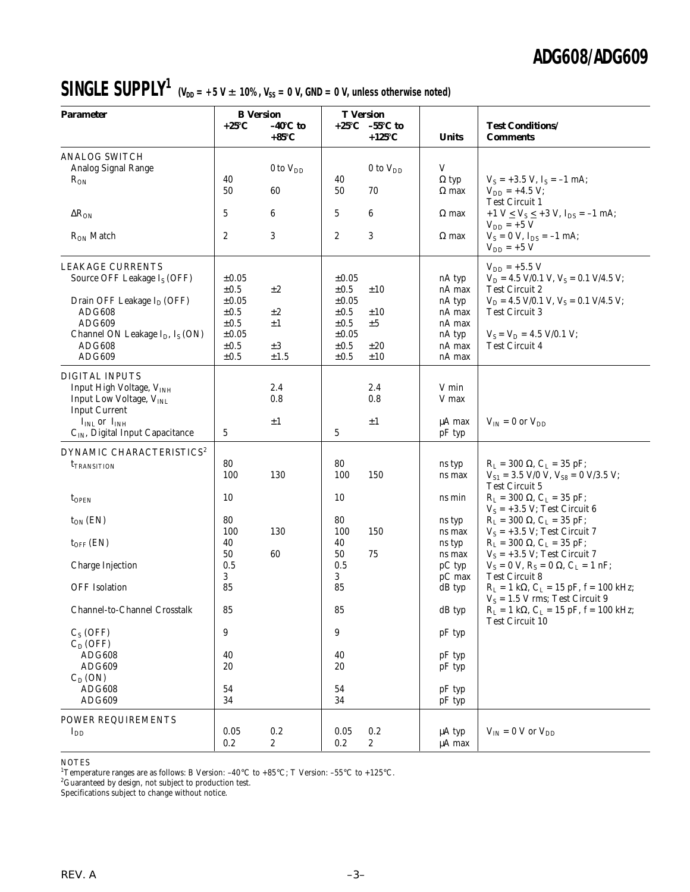## **SINGLE SUPPLY<sup>1</sup>**  $(V_{DD} = +5 V \pm 10\%$ ,  $V_{SS} = 0 V$ , GND = 0 V, unless otherwise noted)

| <b>Parameter</b>                                        | <b>B</b> Version  |                                      | <b>T</b> Version       |                                                       |                                                      |                                                                               |
|---------------------------------------------------------|-------------------|--------------------------------------|------------------------|-------------------------------------------------------|------------------------------------------------------|-------------------------------------------------------------------------------|
|                                                         | $+25^{\circ}C$    | $-40^{\circ}$ C to<br>$+85^{\circ}C$ |                        | $+25^{\circ}$ C $-55^{\circ}$ C to<br>$+125^{\circ}C$ | <b>Units</b>                                         | <b>Test Conditions/</b><br><b>Comments</b>                                    |
| <b>ANALOG SWITCH</b>                                    |                   |                                      |                        |                                                       |                                                      |                                                                               |
| Analog Signal Range                                     |                   | 0 to $V_{DD}$                        |                        | 0 to $V_{DD}$                                         | V                                                    |                                                                               |
| $R_{ON}$                                                | 40<br>50          | 60                                   | 40<br>50               | 70                                                    | $\Omega$ typ<br>$\Omega$ max                         | $V_S = +3.5$ V, $I_S = -1$ mA;<br>$V_{DD} = +4.5 V;$                          |
|                                                         |                   |                                      |                        |                                                       |                                                      | <b>Test Circuit 1</b>                                                         |
| $\Delta R_{ON}$                                         | 5                 | 6                                    | 5                      | 6                                                     | $\Omega$ max                                         | +1 $V \le V_S \le$ +3 V, $I_{DS}$ = -1 mA;<br>$V_{DD}$ = +5 V                 |
| $R_{ON}$ Match                                          | $\boldsymbol{2}$  | 3                                    | $\overline{2}$         | 3                                                     | $\Omega$ max                                         | $V_S = 0 V$ , $I_{DS} = -1 mA$ ;<br>$V_{DD}$ = +5 V                           |
| <b>LEAKAGE CURRENTS</b>                                 |                   |                                      |                        |                                                       |                                                      | $V_{DD}$ = +5.5 V                                                             |
| Source OFF Leakage I <sub>S</sub> (OFF)                 | $\pm 0.05$        |                                      | $\pm 0.05$             |                                                       | nA typ                                               | $V_D = 4.5$ V/0.1 V, $V_S = 0.1$ V/4.5 V;                                     |
|                                                         | $\pm 0.5$         | $\pm 2$                              | $\pm 0.5$              | ±10                                                   | nA max                                               | <b>Test Circuit 2</b>                                                         |
| Drain OFF Leakage $I_D$ (OFF)                           | $\pm 0.05$        |                                      | $\pm 0.05$             |                                                       | nA typ                                               | $V_D = 4.5$ V/0.1 V, $V_S = 0.1$ V/4.5 V;                                     |
| <b>ADG608</b><br>ADG609                                 | ±0.5<br>$\pm 0.5$ | $\pm 2$<br>$\pm 1$                   | $\pm 0.5$<br>$\pm 0.5$ | ±10<br>±5                                             | nA max<br>nA max                                     | <b>Test Circuit 3</b>                                                         |
| Channel ON Leakage I <sub>D</sub> , I <sub>S</sub> (ON) | $\pm 0.05$        |                                      | $\pm 0.05$             |                                                       | nA typ                                               | $V_S = V_D = 4.5$ V/0.1 V;                                                    |
| ADG608                                                  | ±0.5              | $\pm 3$                              | $\pm 0.5$              | $\pm 20$                                              | nA max                                               | <b>Test Circuit 4</b>                                                         |
| ADG609                                                  | ±0.5              | $\pm 1.5$                            | $\pm 0.5$              | ±10                                                   | nA max                                               |                                                                               |
| <b>DIGITAL INPUTS</b>                                   |                   |                                      |                        |                                                       |                                                      |                                                                               |
| Input High Voltage, VINH                                |                   | 2.4                                  |                        | 2.4                                                   | V min                                                |                                                                               |
| Input Low Voltage, VINL                                 |                   | 0.8                                  |                        | 0.8                                                   | V max                                                |                                                                               |
| <b>Input Current</b>                                    |                   |                                      |                        |                                                       |                                                      |                                                                               |
| $IINL$ or $IINH$                                        |                   | $\pm 1$                              |                        | $\pm 1$                                               | μA max                                               | $V_{IN} = 0$ or $V_{DD}$                                                      |
| C <sub>IN</sub> , Digital Input Capacitance             | 5                 |                                      | 5                      |                                                       | pF typ                                               |                                                                               |
| DYNAMIC CHARACTERISTICS <sup>2</sup>                    |                   |                                      |                        |                                                       |                                                      |                                                                               |
| <b>t</b> TRANSITION                                     | 80                |                                      | 80                     |                                                       | ns typ                                               | $R_L$ = 300 $\Omega$ , $C_L$ = 35 pF;                                         |
|                                                         | 100               | 130                                  | 100                    | 150                                                   | ns max                                               | $V_{S1} = 3.5$ V/0 V, $V_{S8} = 0$ V/3.5 V;<br><b>Test Circuit 5</b>          |
| $t_{\rm OPEN}$                                          | 10                |                                      | 10                     |                                                       | ns min                                               | $R_L = 300 \Omega$ , $C_L = 35 pF$ ;                                          |
|                                                         |                   |                                      |                        |                                                       |                                                      | $V_S = +3.5 V$ ; Test Circuit 6                                               |
| $t_{ON}$ (EN)                                           | 80                |                                      | 80                     |                                                       | ns typ                                               | $R_L$ = 300 $\Omega$ , $C_L$ = 35 pF;                                         |
|                                                         | 100               | 130                                  | 100                    | 150                                                   | ns max                                               | $V_S = +3.5 V$ ; Test Circuit 7                                               |
| $t_{OFF}$ (EN)                                          | 40                |                                      | 40                     |                                                       | ns typ                                               | $R_L = 300 \Omega$ , $C_L = 35 pF$ ;                                          |
|                                                         | 50                | 60                                   | 50                     | 75                                                    | ns max                                               | $V_S = +3.5 V$ ; Test Circuit 7                                               |
| Charge Injection                                        | 0.5<br>3          |                                      | 0.5<br>3               |                                                       | pC typ<br>pC max                                     | $V_S = 0 V$ , $R_S = 0 \Omega$ , $C_L = 1 nF$ ;<br><b>Test Circuit 8</b>      |
| <b>OFF</b> Isolation                                    | 85                |                                      | 85                     |                                                       | dB typ                                               | $R_L = 1 k\Omega$ , $C_L = 15 pF$ , $f = 100 kHz$ ;                           |
|                                                         |                   |                                      |                        |                                                       |                                                      | $V_S = 1.5$ V rms; Test Circuit 9                                             |
| Channel-to-Channel Crosstalk                            | 85                |                                      | 85                     |                                                       | dB typ                                               | $R_L = 1 k\Omega$ , $C_L = 15 pF$ , $f = 100 kHz$ ;<br><b>Test Circuit 10</b> |
| $C_S$ (OFF)                                             | 9                 |                                      | 9                      |                                                       | pF typ                                               |                                                                               |
| $C_D(OFF)$                                              |                   |                                      |                        |                                                       |                                                      |                                                                               |
| <b>ADG608</b>                                           | 40                |                                      | 40                     |                                                       | pF typ                                               |                                                                               |
| ADG609                                                  | 20                |                                      | 20                     |                                                       | pF typ                                               |                                                                               |
| $C_D (ON)$                                              |                   |                                      |                        |                                                       |                                                      |                                                                               |
| <b>ADG608</b>                                           | 54                |                                      | 54                     |                                                       | pF typ                                               |                                                                               |
| ADG609                                                  | 34                |                                      | 34                     |                                                       | $\ensuremath{\mathbf{p}}\ensuremath{\mathbf{F}}$ typ |                                                                               |
| POWER REQUIREMENTS                                      |                   |                                      |                        |                                                       |                                                      |                                                                               |
| $I_{DD}$                                                | 0.05              | 0.2                                  | 0.05                   | 0.2                                                   | μA typ                                               | $V_{IN}$ = 0 V or $V_{DD}$                                                    |
|                                                         | 0.2               | $\boldsymbol{2}$                     | $0.2\,$                | $\boldsymbol{2}$                                      | μA max                                               |                                                                               |

NOTES 1 Temperature ranges are as follows: B Version: –40°C to +85°C; T Version: –55°C to +125°C.

 ${}^{2}$ Guaranteed by design, not subject to production test.

Specifications subject to change without notice.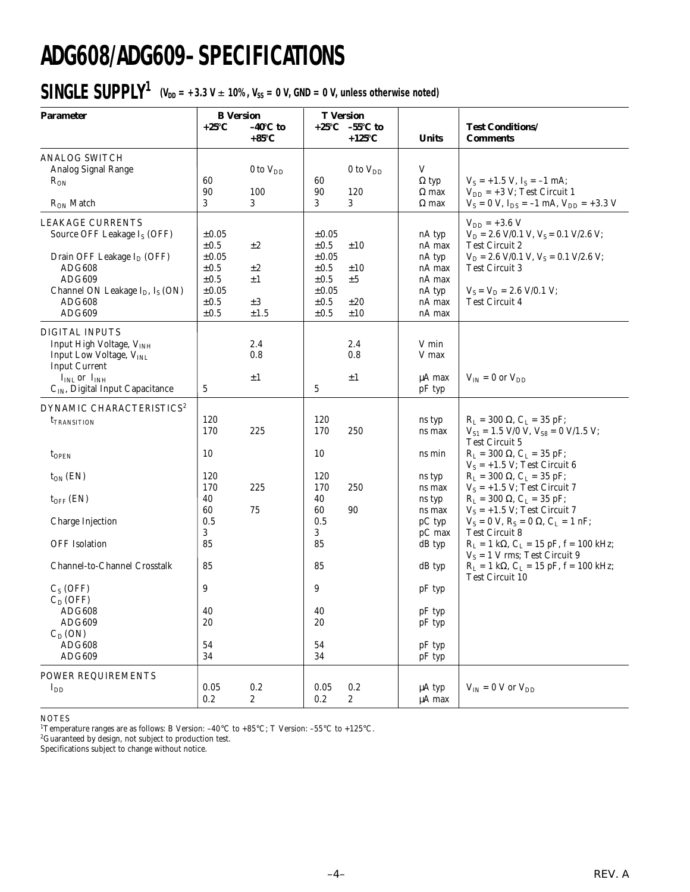# **ADG608/ADG609–SPECIFICATIONS**

## $SIMGLE SUPPLY^1$  (V<sub>DD</sub> = +3.3 V  $\pm$  10%, V<sub>SS</sub> = 0 V, GND = 0 V, unless otherwise noted)

| <b>Parameter</b>                                                                                                                                                                                   | <b>B</b> Version<br>$+25^{\circ}C$                                                                      | $-40^{\circ}$ C to                               |                                                                                                         | <b>T</b> Version<br>$+25^{\circ}$ C $-55^{\circ}$ C to |                                                                              | <b>Test Conditions/</b>                                                                                                                                                                                              |
|----------------------------------------------------------------------------------------------------------------------------------------------------------------------------------------------------|---------------------------------------------------------------------------------------------------------|--------------------------------------------------|---------------------------------------------------------------------------------------------------------|--------------------------------------------------------|------------------------------------------------------------------------------|----------------------------------------------------------------------------------------------------------------------------------------------------------------------------------------------------------------------|
|                                                                                                                                                                                                    |                                                                                                         | $+85^{\circ}C$                                   |                                                                                                         | $+125^{\circ}C$                                        | <b>Units</b>                                                                 | <b>Comments</b>                                                                                                                                                                                                      |
| <b>ANALOG SWITCH</b><br>Analog Signal Range<br>$R_{ON}$<br>$R_{ON}$ Match                                                                                                                          | 60<br>90<br>3                                                                                           | 0 to $V_{DD}$<br>100<br>3                        | 60<br>90<br>3                                                                                           | $0$ to $V_{DD}$<br>120<br>3                            | V<br>$\Omega$ typ<br>$\Omega$ max<br>$\Omega$ max                            | $V_S = +1.5 V$ , $I_S = -1$ mA;<br>$V_{DD}$ = +3 V; Test Circuit 1<br>$V_S = 0$ V, $I_{DS} = -1$ mA, $V_{DD} = +3.3$ V                                                                                               |
| <b>LEAKAGE CURRENTS</b><br>Source OFF Leakage I <sub>S</sub> (OFF)<br>Drain OFF Leakage $I_D$ (OFF)<br><b>ADG608</b><br>ADG609<br>Channel ON Leakage $I_D$ , $I_S$ (ON)<br><b>ADG608</b><br>ADG609 | $\pm 0.05$<br>$\pm 0.5$<br>$\pm 0.05$<br>$\pm 0.5$<br>$\pm 0.5$<br>$\pm 0.05$<br>$\pm 0.5$<br>$\pm 0.5$ | $\pm 2$<br>$\pm 2$<br>$\pm 1$<br>$\pm 3$<br>±1.5 | $\pm 0.05$<br>$\pm 0.5$<br>$\pm 0.05$<br>$\pm 0.5$<br>$\pm 0.5$<br>$\pm 0.05$<br>$\pm 0.5$<br>$\pm 0.5$ | ±10<br>±10<br>±5<br>±20<br>±10                         | nA typ<br>nA max<br>nA typ<br>nA max<br>nA max<br>nA typ<br>nA max<br>nA max | $V_{DD}$ = +3.6 V<br>$V_D = 2.6$ V/0.1 V, $V_S = 0.1$ V/2.6 V;<br><b>Test Circuit 2</b><br>$V_D = 2.6$ V/0.1 V, $V_S = 0.1$ V/2.6 V;<br><b>Test Circuit 3</b><br>$V_S = V_D = 2.6$ V/0.1 V;<br><b>Test Circuit 4</b> |
| <b>DIGITAL INPUTS</b><br>Input High Voltage, V <sub>INH</sub><br>Input Low Voltage, V <sub>INL</sub><br><b>Input Current</b><br>$IINL$ or $IINH$<br>$\mathrm{C_{IN}}$ Digital Input Capacitance    | 5                                                                                                       | 2.4<br>0.8<br>$\pm 1$                            | $\sqrt{5}$                                                                                              | 2.4<br>0.8<br>±1                                       | V min<br>V max<br>$\mu A$ max<br>pF typ                                      | $V_{IN} = 0$ or $V_{DD}$                                                                                                                                                                                             |
| DYNAMIC CHARACTERISTICS <sup>2</sup><br><b>t</b> TRANSITION                                                                                                                                        | 120<br>170                                                                                              | 225                                              | 120<br>170                                                                                              | 250                                                    | ns typ<br>ns max                                                             | $R_L = 300 \Omega$ , $C_L = 35 pF$ ;<br>$V_{S1} = 1.5$ V/0 V, $V_{S8} = 0$ V/1.5 V;<br><b>Test Circuit 5</b>                                                                                                         |
| $t_{\text{OPEN}}$                                                                                                                                                                                  | 10                                                                                                      |                                                  | 10                                                                                                      |                                                        | ns min                                                                       | $R_L = 300 \Omega$ , $C_L = 35 pF$ ;                                                                                                                                                                                 |
| $t_{ON}$ (EN)<br>$t_{OFF}$ (EN)                                                                                                                                                                    | 120<br>170<br>40<br>60                                                                                  | 225<br>75                                        | 120<br>170<br>40<br>60                                                                                  | 250<br>90                                              | ns typ<br>ns max<br>ns typ<br>ns max                                         | $V_S = +1.5 V$ ; Test Circuit 6<br>$R_L = 300 \Omega$ , $C_L = 35 pF$ ;<br>$V_S = +1.5 V$ ; Test Circuit 7<br>$R_L = 300 \Omega$ , $C_L = 35 pF$ ;<br>$V_S = +1.5 V$ ; Test Circuit 7                                |
| Charge Injection<br><b>OFF</b> Isolation                                                                                                                                                           | 0.5<br>3<br>85                                                                                          |                                                  | 0.5<br>3<br>85                                                                                          |                                                        | pC typ<br>pC max<br>dB typ                                                   | $V_S = 0 V$ , $R_S = 0 \Omega$ , $C_L = 1 nF$ ;<br><b>Test Circuit 8</b><br>$R_L = 1 k\Omega$ , $C_L = 15 pF$ , $f = 100 kHz$ ;                                                                                      |
| Channel-to-Channel Crosstalk                                                                                                                                                                       | 85                                                                                                      |                                                  | 85                                                                                                      |                                                        | dB typ                                                                       | $V_S = 1$ V rms; Test Circuit 9<br>$R_L = 1 k\Omega$ , $C_L = 15 pF$ , $f = 100 kHz$ ;                                                                                                                               |
| $C_S$ (OFF)<br>$C_D(OFF)$<br>ADG608<br><b>ADG609</b><br>$C_D (ON)$                                                                                                                                 | 9<br>40<br>20                                                                                           |                                                  | 9<br>40<br>20                                                                                           |                                                        | pF typ<br>pF typ<br>pF typ                                                   | Test Circuit 10                                                                                                                                                                                                      |
| <b>ADG608</b><br>ADG609                                                                                                                                                                            | 54<br>34                                                                                                |                                                  | 54<br>34                                                                                                |                                                        | pF typ<br>pF typ                                                             |                                                                                                                                                                                                                      |
| POWER REQUIREMENTS<br>$I_{DD}$                                                                                                                                                                     | 0.05<br>0.2                                                                                             | $0.2\,$<br>$\mathbf{2}$                          | 0.05<br>0.2                                                                                             | 0.2<br>$\overline{\mathbf{2}}$                         | μA typ<br>μA max                                                             | $V_{IN}$ = 0 V or $V_{DD}$                                                                                                                                                                                           |

NOTES

<sup>1</sup>Temperature ranges are as follows: B Version: –40°C to +85°C; T Version: –55°C to +125°C.<br><sup>2</sup>Guaranteed by design, not subject to production test.

Specifications subject to change without notice.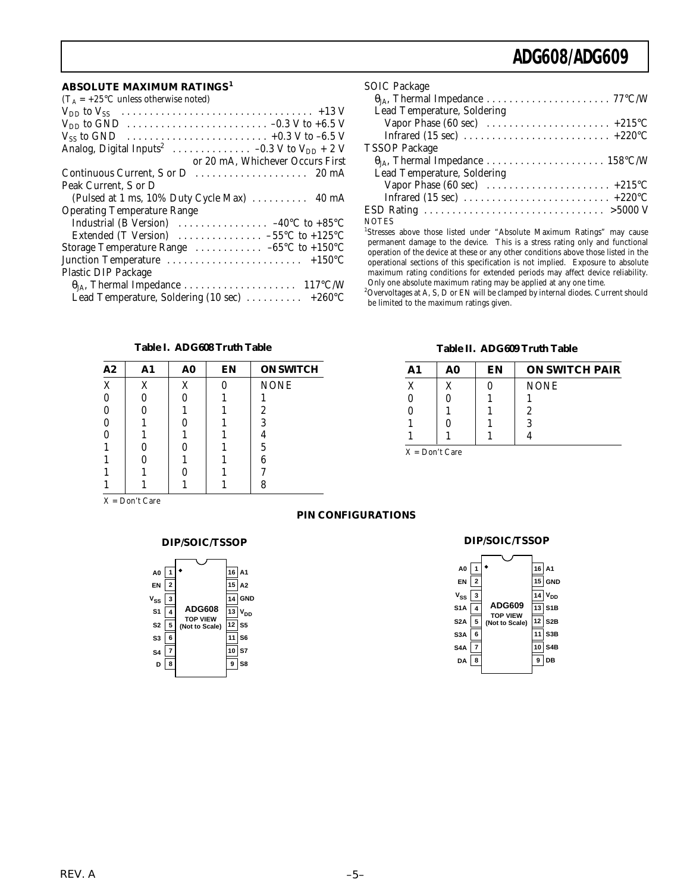#### **ABSOLUTE MAXIMUM RATINGS<sup>1</sup>**

| $(T_A = +25\degree C$ unless otherwise noted)                              |
|----------------------------------------------------------------------------|
|                                                                            |
|                                                                            |
|                                                                            |
|                                                                            |
| or 20 mA, Whichever Occurs First                                           |
|                                                                            |
| Peak Current. S or D                                                       |
| (Pulsed at 1 ms, 10% Duty Cycle Max)  40 mA                                |
| <b>Operating Temperature Range</b>                                         |
| Industrial (B Version) $\ldots \ldots \ldots \ldots -40^{\circ}C$ to +85°C |
| Extended (T Version) $\ldots \ldots \ldots \ldots -55^{\circ}C$ to +125°C  |
| Storage Temperature Range $\ldots \ldots \ldots \ldots -65$ °C to +150°C   |
|                                                                            |
| Plastic DIP Package                                                        |
|                                                                            |
| Lead Temperature, Soldering (10 sec)  +260°C                               |

| <b>SOIC Package</b>         |
|-----------------------------|
|                             |
| Lead Temperature, Soldering |
|                             |
|                             |
| <b>TSSOP Package</b>        |
|                             |
| Lead Temperature, Soldering |
|                             |
|                             |
|                             |
| <b>NOTES</b>                |

NOTES 1 Stresses above those listed under "Absolute Maximum Ratings" may cause permanent damage to the device. This is a stress rating only and functional operation of the device at these or any other conditions above those listed in the operational sections of this specification is not implied. Exposure to absolute maximum rating conditions for extended periods may affect device reliability. Only one absolute maximum rating may be applied at any one time.

 $^{2}$ Overvoltages at A, S, D or EN will be clamped by internal diodes. Current should be limited to the maximum ratings given.

#### **Table I. ADG608 Truth Table**

| A2          | A1 | A <sub>0</sub> | EN | <b>ON SWITCH</b> |
|-------------|----|----------------|----|------------------|
| $\mathbf X$ | X  | X              |    | <b>NONE</b>      |
|             | 0  | 0              |    |                  |
|             |    |                |    | $\boldsymbol{2}$ |
|             |    |                |    | 3                |
|             |    |                |    | 4                |
|             |    |                |    | 5                |
|             |    |                |    | 6                |
|             |    |                |    |                  |
|             |    |                |    | 8                |

X = Don't Care

| A0<br>EN<br>$\mathsf{v}_{\mathsf{ss}}$<br>S <sub>1</sub><br>S2<br>S3<br>S4<br>D | $\overline{\mathbf{2}}$<br>3<br>4<br>5<br>6 | <b>ADG608</b><br><b>TOP VIEW</b><br>(Not to Scale) | $16$ A1<br>15<br>14<br>13<br>12<br>10<br>ā | A2<br><b>GND</b><br>V <sub>DD</sub><br>S <sub>5</sub><br>S <sub>6</sub><br>S7<br>S8 |
|---------------------------------------------------------------------------------|---------------------------------------------|----------------------------------------------------|--------------------------------------------|-------------------------------------------------------------------------------------|
|                                                                                 |                                             |                                                    |                                            |                                                                                     |

#### **Table II. ADG609 Truth Table**

| A1 | A0 | EN | <b>ON SWITCH PAIR</b> |
|----|----|----|-----------------------|
| X  |    |    | <b>NONE</b>           |
|    |    |    |                       |
|    |    |    | 2                     |
|    |    |    | 3                     |
|    |    |    |                       |

X = Don't Care

#### **PIN CONFIGURATIONS**

#### **DIP/SOIC/TSSOP DIP/SOIC/TSSOP**

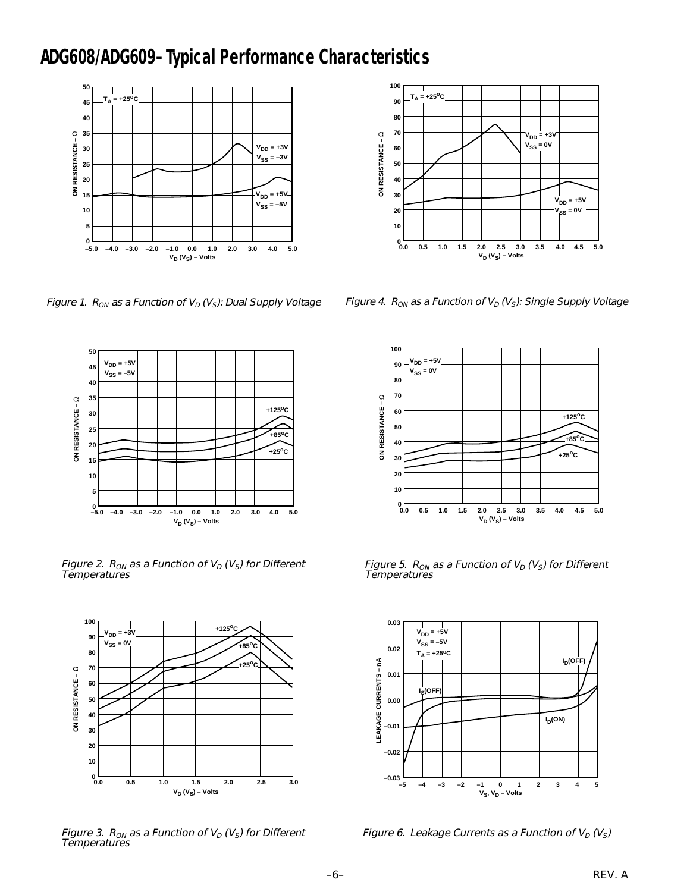### **ADG608/ADG609–Typical Performance Characteristics**



Figure 1.  $R_{ON}$  as a Function of  $V_D$  (V<sub>S</sub>): Dual Supply Voltage



Figure 2.  $R_{ON}$  as a Function of  $V_D$  (V<sub>S</sub>) for Different Temperatures



Figure 3.  $R_{ON}$  as a Function of  $V_D$  (V<sub>S</sub>) for Different **Temperatures** 



Figure 4. R<sub>ON</sub> as a Function of  $V_D$  (V<sub>S</sub>): Single Supply Voltage



Figure 5.  $R_{ON}$  as a Function of  $V_D$  (V<sub>S</sub>) for Different Temperatures



Figure 6. Leakage Currents as a Function of  $V_D$  ( $V_S$ )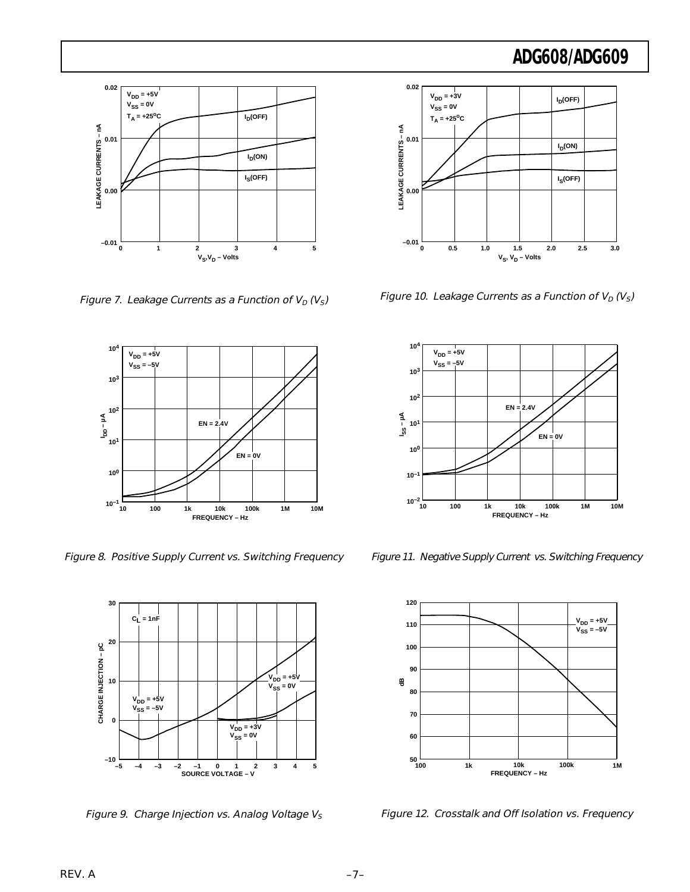

Figure 7. Leakage Currents as a Function of  $V_D$  ( $V_S$ )



Figure 8. Positive Supply Current vs. Switching Frequency



Figure 9. Charge Injection vs. Analog Voltage  $V_S$ 



Figure 10. Leakage Currents as a Function of  $V_D$  (V<sub>S</sub>)



Figure 11. Negative Supply Current vs. Switching Frequency



Figure 12. Crosstalk and Off Isolation vs. Frequency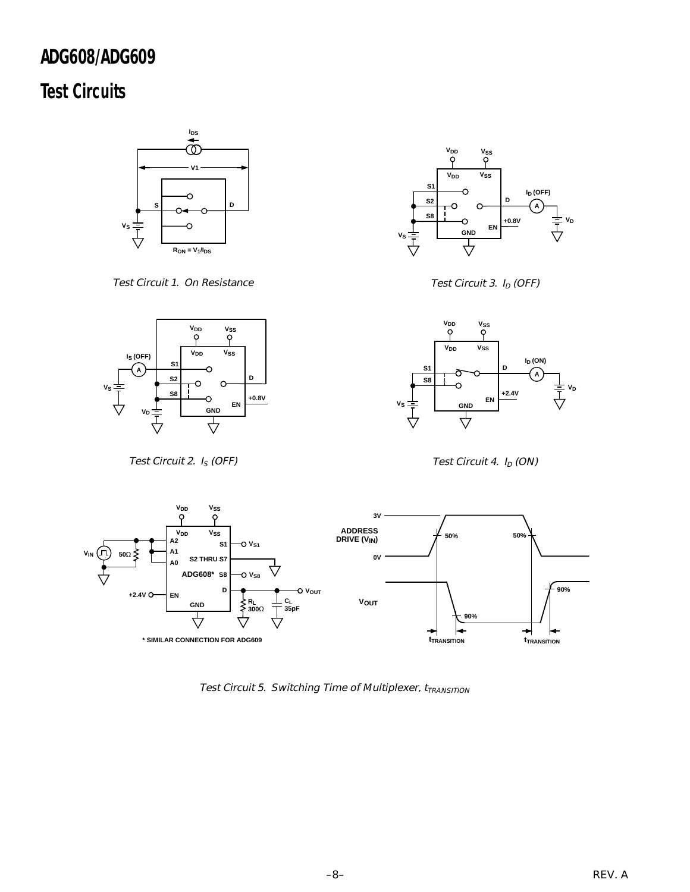## **Test Circuits**



Test Circuit 1. On Resistance



Test Circuit 3.  $I_D$  (OFF)



Test Circuit 2.  $I_S$  (OFF)



Test Circuit 4.  $I_D$  (ON)



Test Circuit 5. Switching Time of Multiplexer,  $t_{TRANSITION}$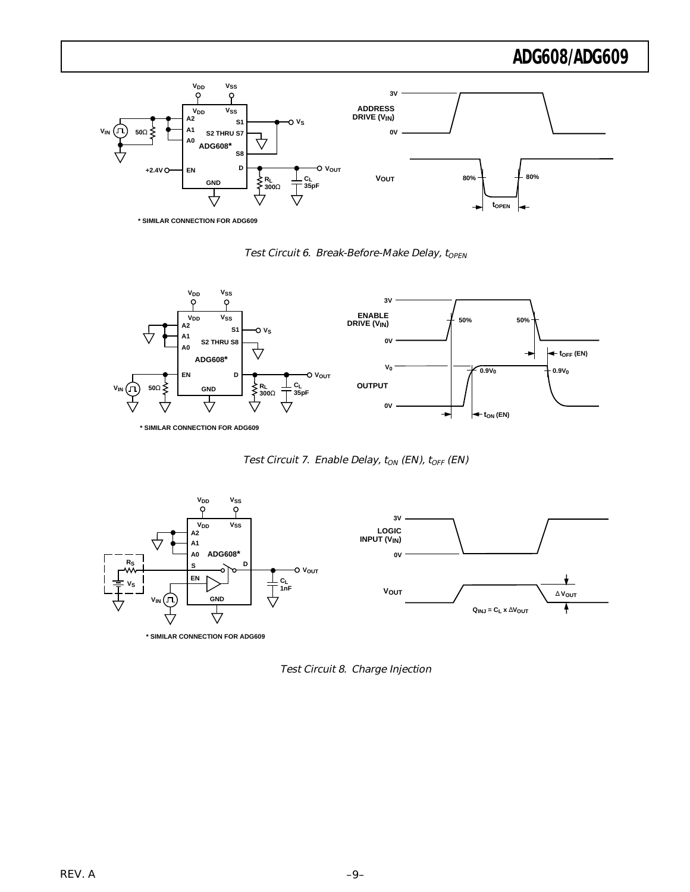

Test Circuit 6. Break-Before-Make Delay, t<sub>OPEN</sub>



Test Circuit 7. Enable Delay,  $t_{ON}$  (EN),  $t_{OFF}$  (EN)



Test Circuit 8. Charge Injection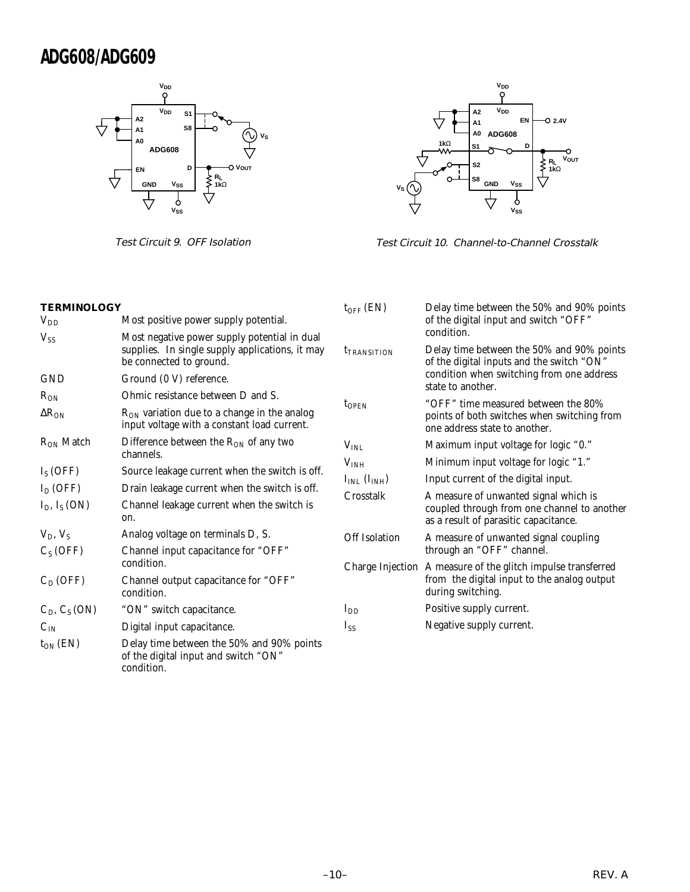

Test Circuit 9. OFF Isolation



Test Circuit 10. Channel-to-Channel Crosstalk

| <b>TERMINOLOGY</b>                |                                                                                                                            | $t_{\rm OFF}$ (EN)                   | Delay time between the 50% and 90% points<br>of the digital input and switch "OFF"                                               |  |
|-----------------------------------|----------------------------------------------------------------------------------------------------------------------------|--------------------------------------|----------------------------------------------------------------------------------------------------------------------------------|--|
| $V_{DD}$                          | Most positive power supply potential.                                                                                      |                                      |                                                                                                                                  |  |
| $V_{SS}$                          | Most negative power supply potential in dual<br>supplies. In single supply applications, it may<br>be connected to ground. | t <sub>TRANSITION</sub>              | condition.<br>Delay time between the 50% and 90% points<br>of the digital inputs and the switch "ON"                             |  |
| <b>GND</b>                        | Ground (0 V) reference.                                                                                                    |                                      | condition when switching from one address<br>state to another.                                                                   |  |
| $R_{ON}$                          | Ohmic resistance between D and S.                                                                                          | $t_{\rm OPEN}$                       | "OFF" time measured between the 80%                                                                                              |  |
| $\Delta R_{ON}$                   | R <sub>ON</sub> variation due to a change in the analog<br>input voltage with a constant load current.                     |                                      | points of both switches when switching from<br>one address state to another.                                                     |  |
| $R_{ON}$ Match                    | Difference between the $R_{ON}$ of any two<br>channels.                                                                    | $V_{INL}$                            | Maximum input voltage for logic "0."                                                                                             |  |
|                                   |                                                                                                                            | V <sub>INH</sub>                     | Minimum input voltage for logic "1."                                                                                             |  |
| $I_S(OFF)$                        | Source leakage current when the switch is off.                                                                             | $I_{INL}$ ( $I_{INH}$ )<br>Crosstalk | Input current of the digital input.                                                                                              |  |
| $I_D$ (OFF)<br>$I_D$ , $I_S (ON)$ | Drain leakage current when the switch is off.<br>Channel leakage current when the switch is<br>on.                         |                                      | A measure of unwanted signal which is<br>coupled through from one channel to another<br>as a result of parasitic capacitance.    |  |
| $V_D, V_S$                        | Analog voltage on terminals D, S.                                                                                          | <b>Off Isolation</b>                 | A measure of unwanted signal coupling                                                                                            |  |
| $C_S(OFF)$                        | Channel input capacitance for "OFF"                                                                                        |                                      | through an "OFF" channel.                                                                                                        |  |
|                                   | condition.                                                                                                                 |                                      | Charge Injection A measure of the glitch impulse transferred<br>from the digital input to the analog output<br>during switching. |  |
| $C_D(OFF)$                        | Channel output capacitance for "OFF"<br>condition.                                                                         |                                      |                                                                                                                                  |  |
| $C_D$ , $C_S$ (ON)                | "ON" switch capacitance.                                                                                                   | $I_{DD}$                             | Positive supply current.                                                                                                         |  |
| $C_{IN}$                          | Digital input capacitance.                                                                                                 | $I_{SS}$                             | Negative supply current.                                                                                                         |  |
| $t_{\rm ON}$ (EN)                 | Delay time between the 50% and 90% points<br>of the digital input and switch "ON"<br>condition.                            |                                      |                                                                                                                                  |  |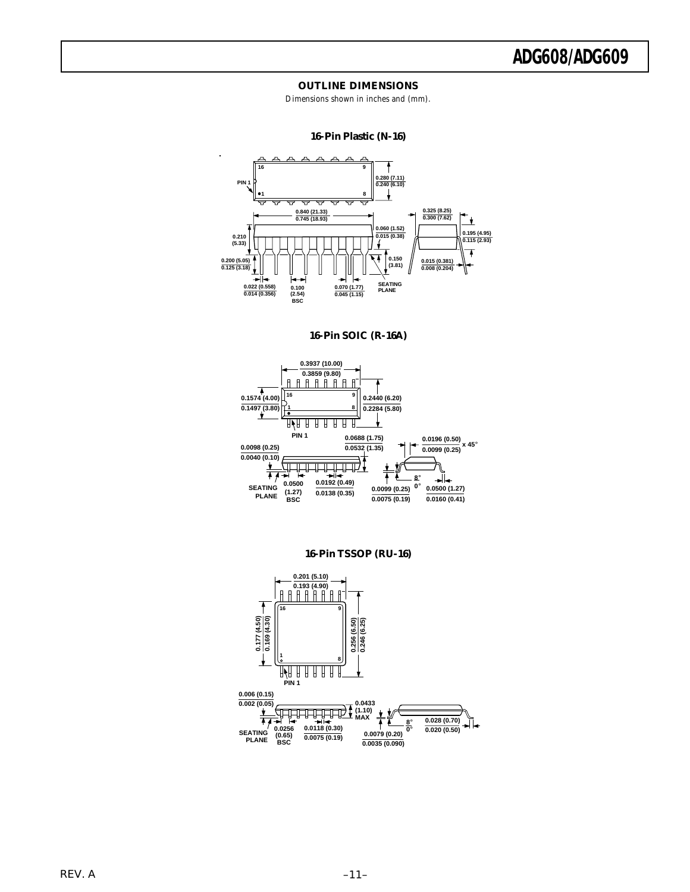#### **OUTLINE DIMENSIONS**

Dimensions shown in inches and (mm).

#### **16-Pin Plastic (N-16)**



**16-Pin SOIC (R-16A)**